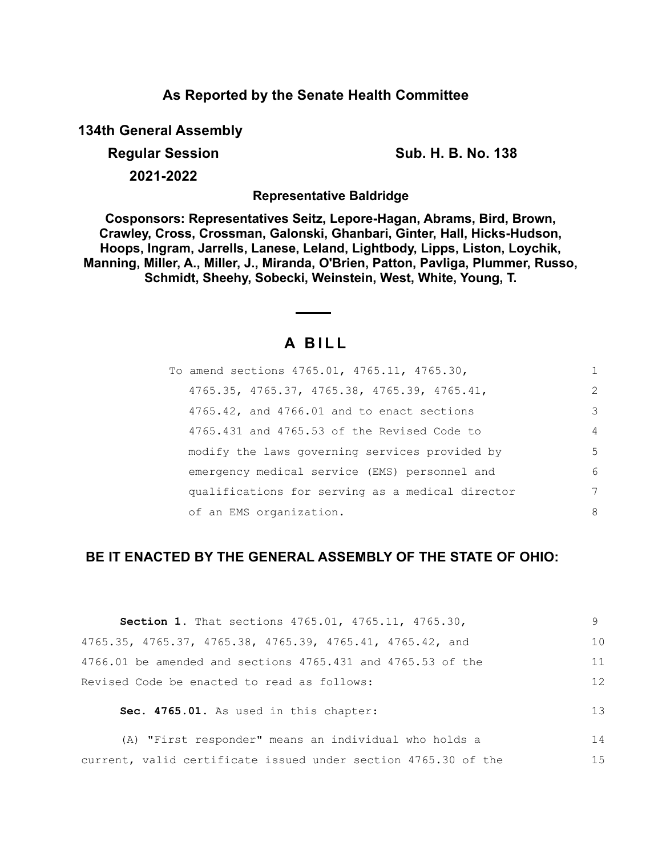# **As Reported by the Senate Health Committee**

**134th General Assembly**

**Regular Session Sub. H. B. No. 138**

**2021-2022**

**Representative Baldridge**

**Cosponsors: Representatives Seitz, Lepore-Hagan, Abrams, Bird, Brown, Crawley, Cross, Crossman, Galonski, Ghanbari, Ginter, Hall, Hicks-Hudson, Hoops, Ingram, Jarrells, Lanese, Leland, Lightbody, Lipps, Liston, Loychik, Manning, Miller, A., Miller, J., Miranda, O'Brien, Patton, Pavliga, Plummer, Russo, Schmidt, Sheehy, Sobecki, Weinstein, West, White, Young, T.**

# **A B I L L**

| To amend sections 4765.01, 4765.11, 4765.30,     | 1              |
|--------------------------------------------------|----------------|
| $4765.35, 4765.37, 4765.38, 4765.39, 4765.41,$   | $\mathcal{L}$  |
| 4765.42, and 4766.01 and to enact sections       | 3              |
| 4765.431 and 4765.53 of the Revised Code to      | $\overline{4}$ |
| modify the laws governing services provided by   | .5             |
| emergency medical service (EMS) personnel and    | 6              |
| qualifications for serving as a medical director | 7              |
| of an EMS organization.                          | 8              |

# **BE IT ENACTED BY THE GENERAL ASSEMBLY OF THE STATE OF OHIO:**

| Section 1. That sections 4765.01, 4765.11, 4765.30,            | 9  |
|----------------------------------------------------------------|----|
| 4765.35, 4765.37, 4765.38, 4765.39, 4765.41, 4765.42, and      | 10 |
| 4766.01 be amended and sections 4765.431 and 4765.53 of the    | 11 |
| Revised Code be enacted to read as follows:                    | 12 |
| Sec. 4765.01. As used in this chapter:                         | 13 |
| (A) "First responder" means an individual who holds a          | 14 |
| current, valid certificate issued under section 4765.30 of the | 15 |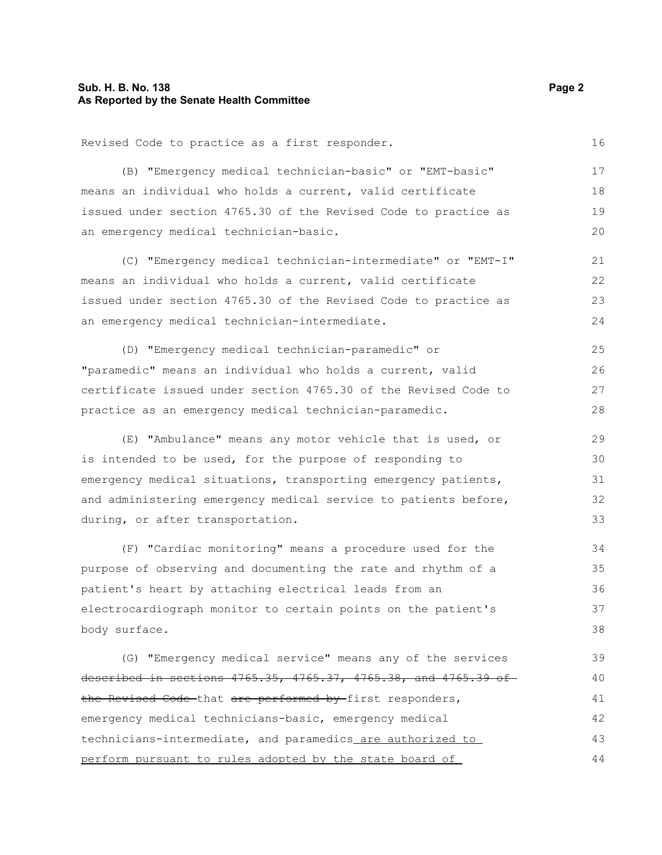### **Sub. H. B. No. 138** Page 2 **As Reported by the Senate Health Committee**

| Revised Code to practice as a first responder.                  | 16 |
|-----------------------------------------------------------------|----|
| (B) "Emergency medical technician-basic" or "EMT-basic"         | 17 |
| means an individual who holds a current, valid certificate      | 18 |
| issued under section 4765.30 of the Revised Code to practice as | 19 |
| an emergency medical technician-basic.                          | 20 |
| (C) "Emergency medical technician-intermediate" or "EMT-I"      | 21 |
| means an individual who holds a current, valid certificate      | 22 |
| issued under section 4765.30 of the Revised Code to practice as | 23 |
| an emergency medical technician-intermediate.                   | 24 |
| (D) "Emergency medical technician-paramedic" or                 | 25 |
| "paramedic" means an individual who holds a current, valid      | 26 |
| certificate issued under section 4765.30 of the Revised Code to | 27 |
| practice as an emergency medical technician-paramedic.          | 28 |
| (E) "Ambulance" means any motor vehicle that is used, or        | 29 |
| is intended to be used, for the purpose of responding to        | 30 |
| emergency medical situations, transporting emergency patients,  | 31 |
| and administering emergency medical service to patients before, | 32 |
| during, or after transportation.                                | 33 |
| (F) "Cardiac monitoring" means a procedure used for the         | 34 |
| purpose of observing and documenting the rate and rhythm of a   | 35 |
| patient's heart by attaching electrical leads from an           | 36 |
| electrocardiograph monitor to certain points on the patient's   | 37 |
| body surface.                                                   | 38 |
| (G) "Emergency medical service" means any of the services       | 39 |
| described in sections 4765.35, 4765.37, 4765.38, and 4765.39 of | 40 |
| the Revised Code that are performed by first responders,        | 41 |
| emergency medical technicians-basic, emergency medical          | 42 |
| technicians-intermediate, and paramedics_are authorized to      | 43 |
| perform pursuant to rules adopted by the state board of         | 44 |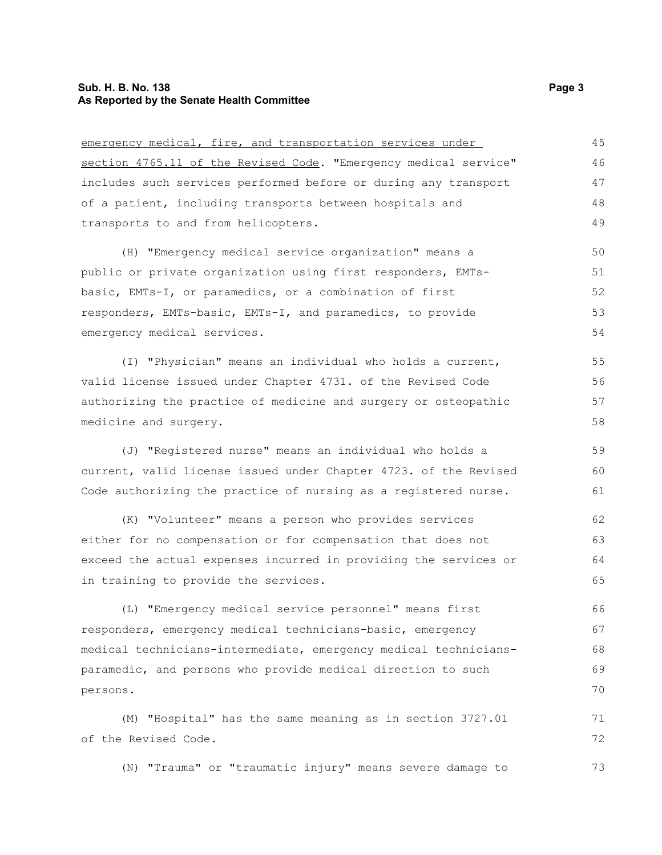### **Sub. H. B. No. 138 Page 3 As Reported by the Senate Health Committee**

| emergency medical, fire, and transportation services under       | 45 |
|------------------------------------------------------------------|----|
| section 4765.11 of the Revised Code. "Emergency medical service" | 46 |
| includes such services performed before or during any transport  | 47 |
| of a patient, including transports between hospitals and         | 48 |
| transports to and from helicopters.                              | 49 |
| (H) "Emergency medical service organization" means a             | 50 |
| public or private organization using first responders, EMTs-     | 51 |
| basic, EMTs-I, or paramedics, or a combination of first          | 52 |
| responders, EMTs-basic, EMTs-I, and paramedics, to provide       | 53 |
| emergency medical services.                                      | 54 |
| (I) "Physician" means an individual who holds a current,         | 55 |
| valid license issued under Chapter 4731. of the Revised Code     | 56 |
| authorizing the practice of medicine and surgery or osteopathic  | 57 |
| medicine and surgery.                                            | 58 |
| (J) "Registered nurse" means an individual who holds a           | 59 |
| current, valid license issued under Chapter 4723. of the Revised | 60 |
| Code authorizing the practice of nursing as a registered nurse.  | 61 |
| (K) "Volunteer" means a person who provides services             | 62 |
| either for no compensation or for compensation that does not     | 63 |
| exceed the actual expenses incurred in providing the services or | 64 |
| in training to provide the services.                             | 65 |
| (L) "Emergency medical service personnel" means first            | 66 |
| responders, emergency medical technicians-basic, emergency       | 67 |
| medical technicians-intermediate, emergency medical technicians- | 68 |
| paramedic, and persons who provide medical direction to such     | 69 |
| persons.                                                         | 70 |
| (M) "Hospital" has the same meaning as in section 3727.01        | 71 |
| of the Revised Code.                                             | 72 |
| (N) "Trauma" or "traumatic injury" means severe damage to        | 73 |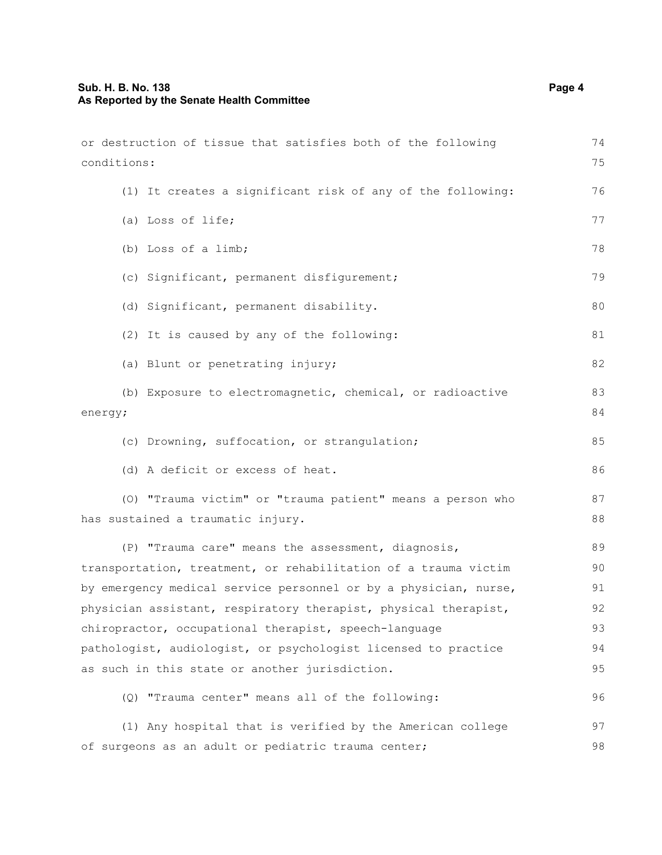| or destruction of tissue that satisfies both of the following                                   | 74       |
|-------------------------------------------------------------------------------------------------|----------|
| conditions:                                                                                     | 75       |
| (1) It creates a significant risk of any of the following:                                      | 76       |
| (a) Loss of life;                                                                               | 77       |
| (b) Loss of a limb;                                                                             | 78       |
| (c) Significant, permanent disfigurement;                                                       | 79       |
| (d) Significant, permanent disability.                                                          | 80       |
| (2) It is caused by any of the following:                                                       | 81       |
| (a) Blunt or penetrating injury;                                                                | 82       |
| (b) Exposure to electromagnetic, chemical, or radioactive<br>energy;                            | 83<br>84 |
| (c) Drowning, suffocation, or strangulation;                                                    | 85       |
| (d) A deficit or excess of heat.                                                                | 86       |
| (0) "Trauma victim" or "trauma patient" means a person who<br>has sustained a traumatic injury. | 87<br>88 |
| (P) "Trauma care" means the assessment, diagnosis,                                              | 89       |
| transportation, treatment, or rehabilitation of a trauma victim                                 | 90       |
| by emergency medical service personnel or by a physician, nurse,                                | 91       |
| physician assistant, respiratory therapist, physical therapist,                                 | 92       |
| chiropractor, occupational therapist, speech-language                                           | 93       |
| pathologist, audiologist, or psychologist licensed to practice                                  | 94       |
| as such in this state or another jurisdiction.                                                  | 95       |
| (Q) "Trauma center" means all of the following:                                                 | 96       |
| (1) Any hospital that is verified by the American college                                       | 97       |
| of surgeons as an adult or pediatric trauma center;                                             | 98       |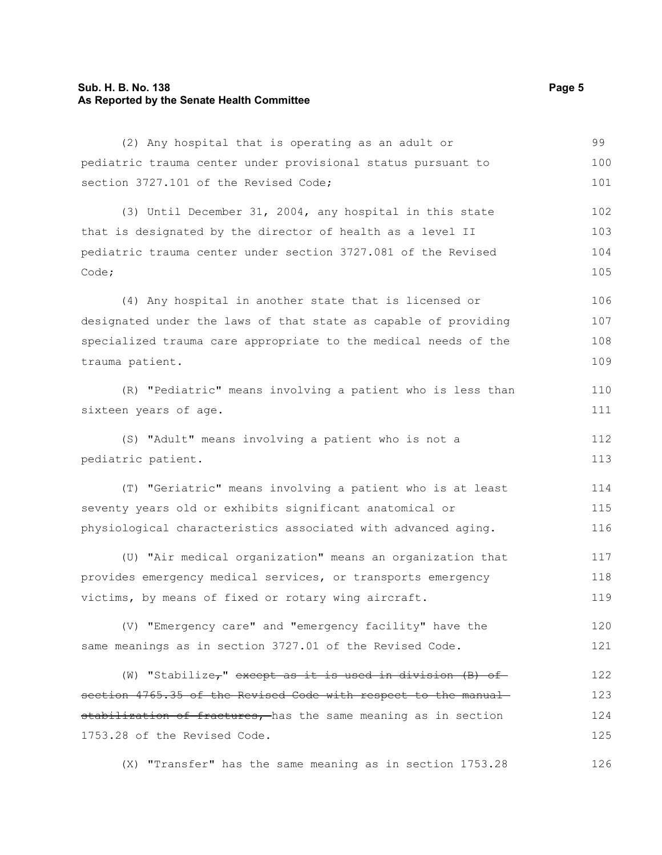### **Sub. H. B. No. 138** Page 5 **As Reported by the Senate Health Committee**

| (2) Any hospital that is operating as an adult or                     | 99  |
|-----------------------------------------------------------------------|-----|
| pediatric trauma center under provisional status pursuant to          | 100 |
| section 3727.101 of the Revised Code;                                 | 101 |
| (3) Until December 31, 2004, any hospital in this state               | 102 |
| that is designated by the director of health as a level II            | 103 |
| pediatric trauma center under section 3727.081 of the Revised         | 104 |
| Code;                                                                 | 105 |
| (4) Any hospital in another state that is licensed or                 | 106 |
| designated under the laws of that state as capable of providing       | 107 |
| specialized trauma care appropriate to the medical needs of the       | 108 |
| trauma patient.                                                       | 109 |
| (R) "Pediatric" means involving a patient who is less than            | 110 |
| sixteen years of age.                                                 | 111 |
| (S) "Adult" means involving a patient who is not a                    | 112 |
| pediatric patient.                                                    | 113 |
| (T) "Geriatric" means involving a patient who is at least             | 114 |
| seventy years old or exhibits significant anatomical or               | 115 |
| physiological characteristics associated with advanced aging.         | 116 |
| (U) "Air medical organization" means an organization that             | 117 |
| provides emergency medical services, or transports emergency          | 118 |
| victims, by means of fixed or rotary wing aircraft.                   | 119 |
| (V) "Emergency care" and "emergency facility" have the                | 120 |
| same meanings as in section 3727.01 of the Revised Code.              | 121 |
| (W) "Stabilize <sub>7</sub> " except as it is used in division (B) of | 122 |
| section 4765.35 of the Revised Code with respect to the manual-       | 123 |
| stabilization of fractures, has the same meaning as in section        | 124 |
| 1753.28 of the Revised Code.                                          | 125 |
|                                                                       |     |

(X) "Transfer" has the same meaning as in section 1753.28 126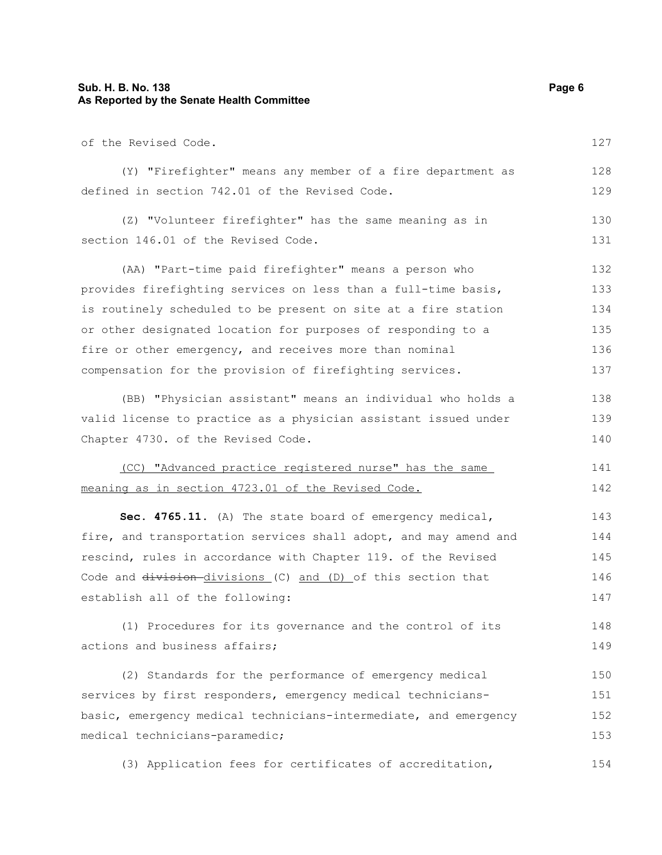### **Sub. H. B. No. 138 Page 6 As Reported by the Senate Health Committee**

| of the Revised Code.                                             | 127 |
|------------------------------------------------------------------|-----|
| (Y) "Firefighter" means any member of a fire department as       | 128 |
| defined in section 742.01 of the Revised Code.                   | 129 |
| (Z) "Volunteer firefighter" has the same meaning as in           | 130 |
| section 146.01 of the Revised Code.                              | 131 |
| (AA) "Part-time paid firefighter" means a person who             | 132 |
| provides firefighting services on less than a full-time basis,   | 133 |
| is routinely scheduled to be present on site at a fire station   | 134 |
| or other designated location for purposes of responding to a     | 135 |
| fire or other emergency, and receives more than nominal          | 136 |
| compensation for the provision of firefighting services.         | 137 |
| (BB) "Physician assistant" means an individual who holds a       | 138 |
| valid license to practice as a physician assistant issued under  | 139 |
| Chapter 4730. of the Revised Code.                               | 140 |
| (CC) "Advanced practice registered nurse" has the same           | 141 |
| meaning as in section 4723.01 of the Revised Code.               | 142 |
| Sec. 4765.11. (A) The state board of emergency medical,          | 143 |
| fire, and transportation services shall adopt, and may amend and | 144 |
| rescind, rules in accordance with Chapter 119. of the Revised    | 145 |
| Code and division-divisions (C) and (D) of this section that     | 146 |
| establish all of the following:                                  | 147 |
| (1) Procedures for its governance and the control of its         | 148 |

(1) Procedures for its governance and the control of its actions and business affairs; 149

(2) Standards for the performance of emergency medical services by first responders, emergency medical techniciansbasic, emergency medical technicians-intermediate, and emergency medical technicians-paramedic; 150 151 152 153

(3) Application fees for certificates of accreditation, 154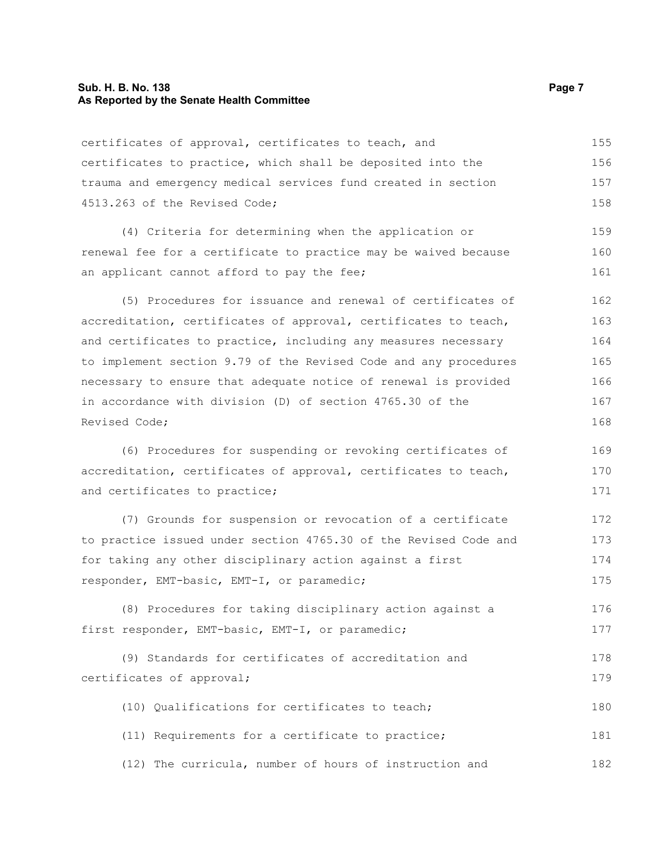#### **Sub. H. B. No. 138 Page 7 As Reported by the Senate Health Committee**

certificates of approval, certificates to teach, and certificates to practice, which shall be deposited into the trauma and emergency medical services fund created in section 4513.263 of the Revised Code; 155 156 157 158

(4) Criteria for determining when the application or renewal fee for a certificate to practice may be waived because an applicant cannot afford to pay the fee;

(5) Procedures for issuance and renewal of certificates of accreditation, certificates of approval, certificates to teach, and certificates to practice, including any measures necessary to implement section 9.79 of the Revised Code and any procedures necessary to ensure that adequate notice of renewal is provided in accordance with division (D) of section 4765.30 of the Revised Code; 162 163 164 165 166 167 168

(6) Procedures for suspending or revoking certificates of accreditation, certificates of approval, certificates to teach, and certificates to practice; 169 170 171

(7) Grounds for suspension or revocation of a certificate to practice issued under section 4765.30 of the Revised Code and for taking any other disciplinary action against a first responder, EMT-basic, EMT-I, or paramedic; 172 173 174 175

(8) Procedures for taking disciplinary action against a first responder, EMT-basic, EMT-I, or paramedic; 176 177

```
(9) Standards for certificates of accreditation and
certificates of approval;
                                                                             178
                                                                             179
```
(10) Qualifications for certificates to teach; 180

(11) Requirements for a certificate to practice; 181

(12) The curricula, number of hours of instruction and 182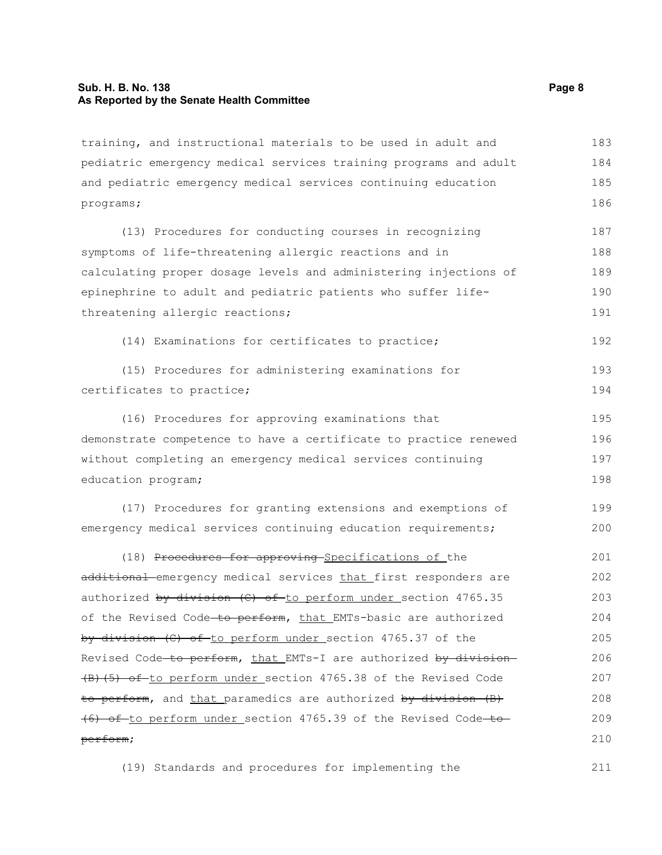#### **Sub. H. B. No. 138 Page 8 As Reported by the Senate Health Committee**

training, and instructional materials to be used in adult and pediatric emergency medical services training programs and adult and pediatric emergency medical services continuing education programs; 183 184 185 186

(13) Procedures for conducting courses in recognizing symptoms of life-threatening allergic reactions and in calculating proper dosage levels and administering injections of epinephrine to adult and pediatric patients who suffer lifethreatening allergic reactions; 187 188 189 190 191

(14) Examinations for certificates to practice;

|                           | (15) Procedures for administering examinations for |  | 193 |
|---------------------------|----------------------------------------------------|--|-----|
| certificates to practice; |                                                    |  | 194 |

(16) Procedures for approving examinations that demonstrate competence to have a certificate to practice renewed without completing an emergency medical services continuing education program; 195 196 197 198

(17) Procedures for granting extensions and exemptions of emergency medical services continuing education requirements; 199 200

(18) Procedures for approving Specifications of the additional emergency medical services that first responders are authorized by division (C) of to perform under section 4765.35 of the Revised Code-to perform, that EMTs-basic are authorized by division (C) of to perform under section 4765.37 of the Revised Code-to perform, that EMTs-I are authorized by division-(B)(5) of to perform under section 4765.38 of the Revised Code to perform, and that paramedics are authorized by division (B) (6) of to perform under section 4765.39 of the Revised Code-toperform; 201 202 203 204 205 206 207 208 209 210

(19) Standards and procedures for implementing the

192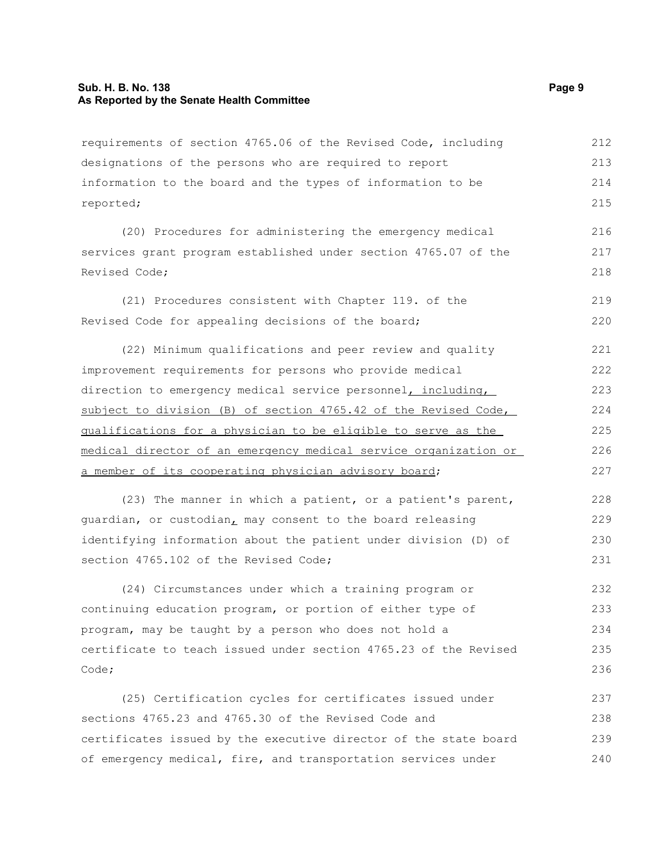#### **Sub. H. B. No. 138 Page 9 As Reported by the Senate Health Committee**

requirements of section 4765.06 of the Revised Code, including designations of the persons who are required to report information to the board and the types of information to be reported; 212 213 214 215

(20) Procedures for administering the emergency medical services grant program established under section 4765.07 of the Revised Code; 216 217 218

(21) Procedures consistent with Chapter 119. of the Revised Code for appealing decisions of the board; 219 220

(22) Minimum qualifications and peer review and quality improvement requirements for persons who provide medical direction to emergency medical service personnel, including, subject to division (B) of section 4765.42 of the Revised Code, qualifications for a physician to be eligible to serve as the medical director of an emergency medical service organization or a member of its cooperating physician advisory board; 221 222 223 224 225 226 227

(23) The manner in which a patient, or a patient's parent, guardian, or custodian, may consent to the board releasing identifying information about the patient under division (D) of section 4765.102 of the Revised Code; 228 229 230 231

(24) Circumstances under which a training program or continuing education program, or portion of either type of program, may be taught by a person who does not hold a certificate to teach issued under section 4765.23 of the Revised Code; 232 233 234 235 236

(25) Certification cycles for certificates issued under sections 4765.23 and 4765.30 of the Revised Code and certificates issued by the executive director of the state board of emergency medical, fire, and transportation services under 237 238 239 240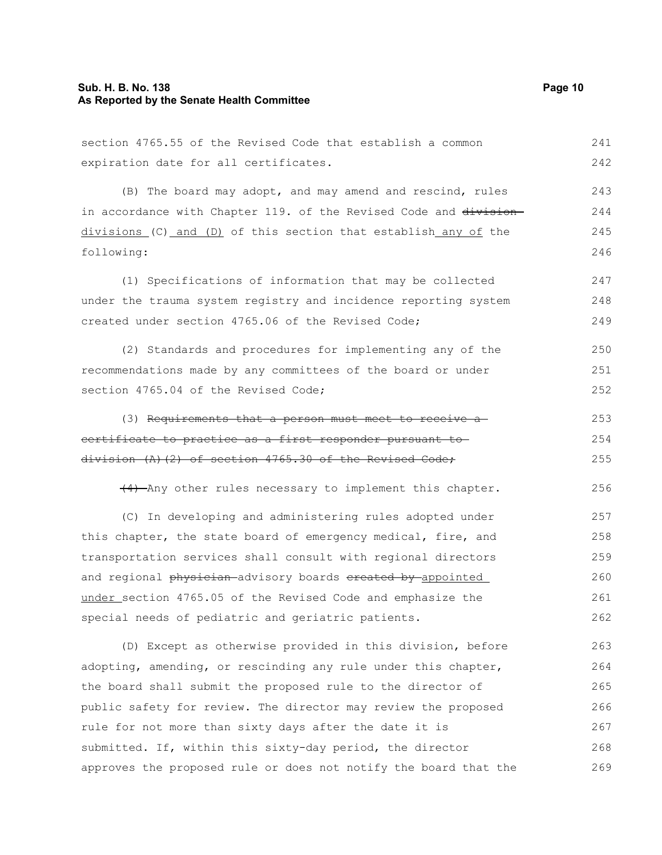#### **Sub. H. B. No. 138 Page 10 As Reported by the Senate Health Committee**

section 4765.55 of the Revised Code that establish a common expiration date for all certificates. (B) The board may adopt, and may amend and rescind, rules in accordance with Chapter 119. of the Revised Code and division $divisions (C) and (D)$  of this section that establish any of the following: (1) Specifications of information that may be collected under the trauma system registry and incidence reporting system created under section 4765.06 of the Revised Code; (2) Standards and procedures for implementing any of the recommendations made by any committees of the board or under section 4765.04 of the Revised Code; (3) Requirements that a person must meet to receive a certificate to practice as a first responder pursuant to division (A)(2) of section 4765.30 of the Revised Code; (4) Any other rules necessary to implement this chapter. (C) In developing and administering rules adopted under this chapter, the state board of emergency medical, fire, and transportation services shall consult with regional directors and regional physician advisory boards created by appointed under section 4765.05 of the Revised Code and emphasize the special needs of pediatric and geriatric patients. (D) Except as otherwise provided in this division, before 241 242 243 244 245 246 247 248 249 250 251 252 253 254 255 256 257 258 259 260 261 262 263

adopting, amending, or rescinding any rule under this chapter, the board shall submit the proposed rule to the director of public safety for review. The director may review the proposed rule for not more than sixty days after the date it is submitted. If, within this sixty-day period, the director approves the proposed rule or does not notify the board that the 264 265 266 267 268 269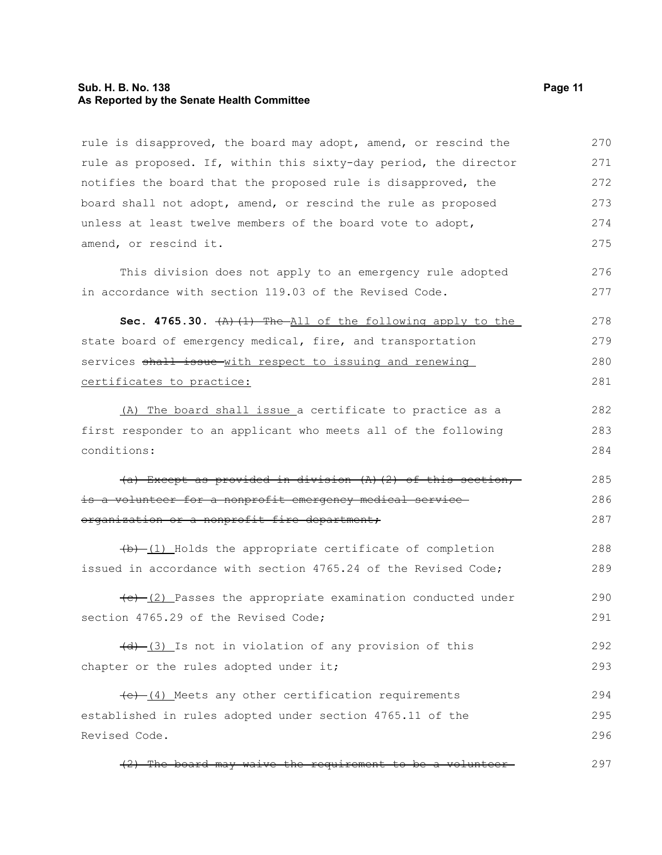#### **Sub. H. B. No. 138 Page 11 As Reported by the Senate Health Committee**

rule is disapproved, the board may adopt, amend, or rescind the rule as proposed. If, within this sixty-day period, the director notifies the board that the proposed rule is disapproved, the board shall not adopt, amend, or rescind the rule as proposed unless at least twelve members of the board vote to adopt, amend, or rescind it. This division does not apply to an emergency rule adopted in accordance with section 119.03 of the Revised Code. **Sec. 4765.30.**  $(A)$   $(1)$  The All of the following apply to the state board of emergency medical, fire, and transportation services shall issue-with respect to issuing and renewing certificates to practice: (A) The board shall issue a certificate to practice as a first responder to an applicant who meets all of the following conditions: (a) Except as provided in division (A)(2) of this section, is a volunteer for a nonprofit emergency medical serviceorganization or a nonprofit fire department;  $(b)$   $(1)$  Holds the appropriate certificate of completion issued in accordance with section 4765.24 of the Revised Code;  $(e)$  (2) Passes the appropriate examination conducted under section 4765.29 of the Revised Code;  $(d)$   $(3)$  Is not in violation of any provision of this chapter or the rules adopted under it;  $(e)$  (4) Meets any other certification requirements established in rules adopted under section 4765.11 of the Revised Code. (2) The board may waive the requirement to be a volunteer 270 271 272 273 274 275 276 277 278 279 280 281 282 283 284 285 286 287 288 289 290 291 292 293 294 295 296 297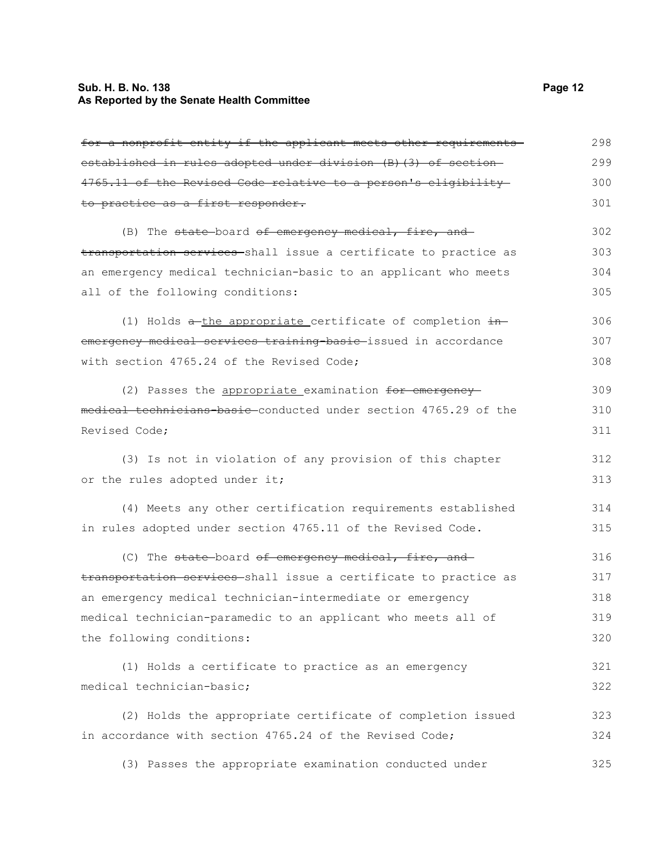| for a nonprofit entity if the applicant meets other requirements  | 298 |
|-------------------------------------------------------------------|-----|
| established in rules adopted under division (B) (3) of section-   | 299 |
| 4765.11 of the Revised Code relative to a person's eligibility    | 300 |
| to practice as a first responder.                                 | 301 |
| (B) The state-board of emergency medical, fire, and               | 302 |
| transportation services shall issue a certificate to practice as  | 303 |
| an emergency medical technician-basic to an applicant who meets   | 304 |
| all of the following conditions:                                  | 305 |
| (1) Holds $a$ -the appropriate certificate of completion $\pm$ n- | 306 |
| emergency medical services training-basic-issued in accordance    | 307 |
| with section 4765.24 of the Revised Code;                         | 308 |
| (2) Passes the appropriate examination for emergency-             | 309 |
| medical technicians-basic-conducted under section 4765.29 of the  | 310 |
| Revised Code;                                                     | 311 |
| (3) Is not in violation of any provision of this chapter          | 312 |
| or the rules adopted under it;                                    | 313 |
| (4) Meets any other certification requirements established        | 314 |
| in rules adopted under section 4765.11 of the Revised Code.       | 315 |
| (C) The state board of emergency medical, fire, and               | 316 |
| transportation services-shall issue a certificate to practice as  | 317 |
| an emergency medical technician-intermediate or emergency         | 318 |
| medical technician-paramedic to an applicant who meets all of     | 319 |
| the following conditions:                                         | 320 |
| (1) Holds a certificate to practice as an emergency               | 321 |
| medical technician-basic;                                         | 322 |
| (2) Holds the appropriate certificate of completion issued        | 323 |
| in accordance with section 4765.24 of the Revised Code;           | 324 |
| (3) Passes the appropriate examination conducted under            | 325 |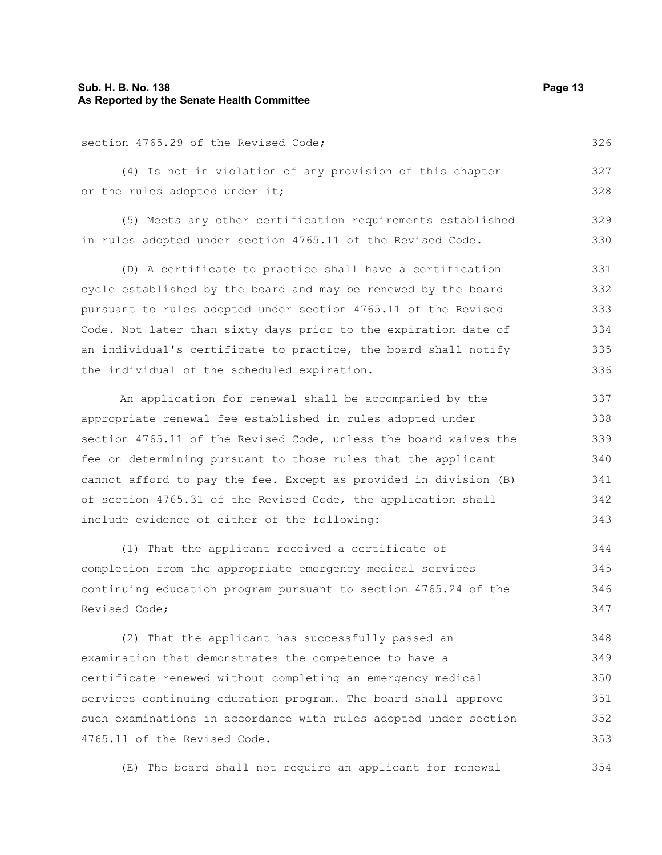### **Sub. H. B. No. 138 Page 13 As Reported by the Senate Health Committee**

section 4765.29 of the Revised Code;

(4) Is not in violation of any provision of this chapter or the rules adopted under it; 327 328

(5) Meets any other certification requirements established in rules adopted under section 4765.11 of the Revised Code. 329 330

(D) A certificate to practice shall have a certification cycle established by the board and may be renewed by the board pursuant to rules adopted under section 4765.11 of the Revised Code. Not later than sixty days prior to the expiration date of an individual's certificate to practice, the board shall notify the individual of the scheduled expiration. 331 332 333 334 335 336

An application for renewal shall be accompanied by the appropriate renewal fee established in rules adopted under section 4765.11 of the Revised Code, unless the board waives the fee on determining pursuant to those rules that the applicant cannot afford to pay the fee. Except as provided in division (B) of section 4765.31 of the Revised Code, the application shall include evidence of either of the following: 337 338 339 340 341 342 343

(1) That the applicant received a certificate of completion from the appropriate emergency medical services continuing education program pursuant to section 4765.24 of the Revised Code; 344 345 346 347

(2) That the applicant has successfully passed an examination that demonstrates the competence to have a certificate renewed without completing an emergency medical services continuing education program. The board shall approve such examinations in accordance with rules adopted under section 4765.11 of the Revised Code. 348 349 350 351 352 353

(E) The board shall not require an applicant for renewal 354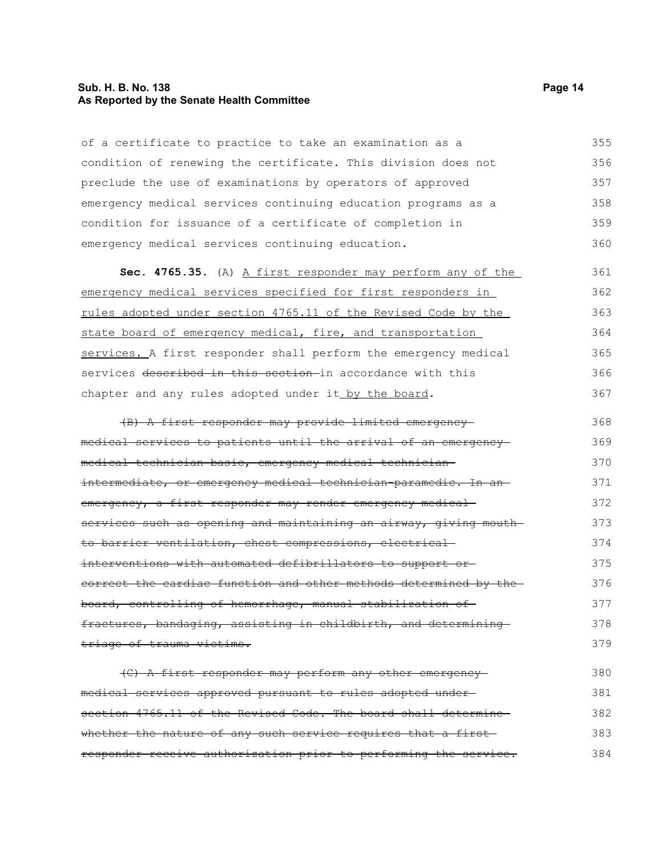#### **Sub. H. B. No. 138 Page 14 As Reported by the Senate Health Committee**

of a certificate to practice to take an examination as a condition of renewing the certificate. This division does not preclude the use of examinations by operators of approved emergency medical services continuing education programs as a condition for issuance of a certificate of completion in emergency medical services continuing education. 355 356 357 358 359 360

**Sec. 4765.35.** (A) A first responder may perform any of the emergency medical services specified for first responders in rules adopted under section 4765.11 of the Revised Code by the state board of emergency medical, fire, and transportation services. A first responder shall perform the emergency medical services described in this section in accordance with this chapter and any rules adopted under it by the board. 361 362 363 364 365 366 367

(B) A first responder may provide limited emergency medical services to patients until the arrival of an emergency medical technician-basic, emergency medical technicianintermediate, or emergency medical technician-paramedic. In an emergency, a first responder may render emergency medicalservices such as opening and maintaining an airway, giving mouthto barrier ventilation, chest compressions, electrical interventions with automated defibrillators to support or correct the cardiac function and other methods determined by the board, controlling of hemorrhage, manual stabilization of fractures, bandaging, assisting in childbirth, and determining triage of trauma victims. 368 369 370 371 372 373 374 375 376 377 378 379

(C) A first responder may perform any other emergency medical services approved pursuant to rules adopted under section 4765.11 of the Revised Code. The board shall determine whether the nature of any such service requires that a first responder receive authorization prior to performing the service. 380 381 382 383 384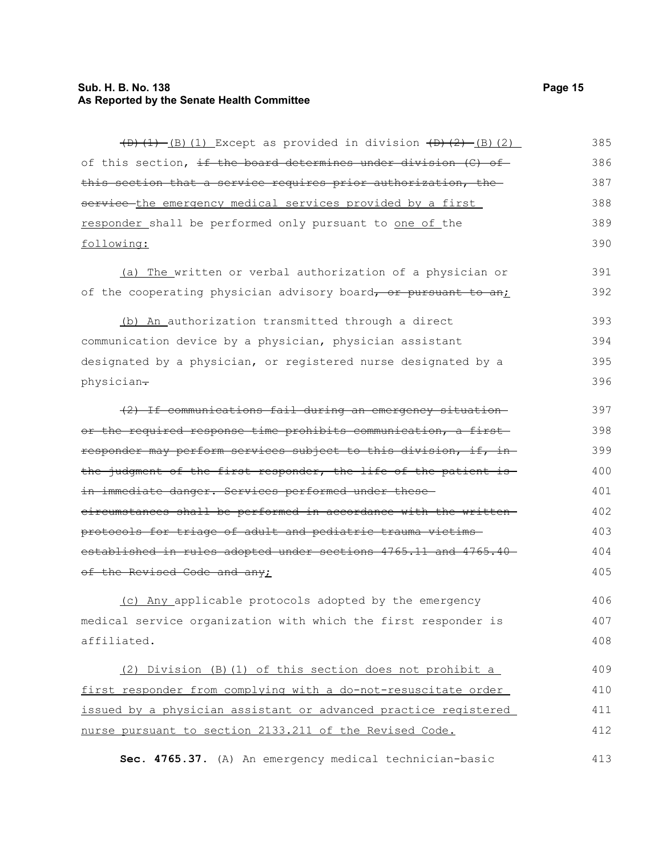### **Sub. H. B. No. 138** Page 15 **As Reported by the Senate Health Committee**

| $(D)$ (1) (B) (1) Except as provided in division $(D)$ (2) (2) (2) | 385 |
|--------------------------------------------------------------------|-----|
| of this section, if the board determines under division (C) of     | 386 |
| this section that a service requires prior authorization, the      | 387 |
| service the emergency medical services provided by a first         | 388 |
| responder shall be performed only pursuant to one of the           | 389 |
| following:                                                         | 390 |
| (a) The written or verbal authorization of a physician or          | 391 |
| of the cooperating physician advisory board, or pursuant to an;    | 392 |
| (b) An authorization transmitted through a direct                  | 393 |
| communication device by a physician, physician assistant           | 394 |
| designated by a physician, or registered nurse designated by a     | 395 |
| physician-                                                         | 396 |
| (2) If communications fail during an emergency situation-          | 397 |
| or the required response time prohibits communication, a first-    | 398 |
| responder may perform services subject to this division, if, in-   | 399 |
| the judgment of the first responder, the life of the patient is    | 400 |
| in immediate danger. Services performed under these-               | 401 |
| eireumstances shall be performed in accordance with the written-   | 402 |
| protocols for triage of adult and pediatric trauma victims-        | 403 |
| established in rules adopted under sections 4765.11 and 4765.40    | 404 |
| of the Revised Code and any;                                       | 405 |
| (c) Any applicable protocols adopted by the emergency              | 406 |
| medical service organization with which the first responder is     | 407 |
| affiliated.                                                        | 408 |
| (2) Division (B) (1) of this section does not prohibit a           | 409 |
| first responder from complying with a do-not-resuscitate order     | 410 |
| issued by a physician assistant or advanced practice registered    | 411 |
| nurse pursuant to section 2133.211 of the Revised Code.            | 412 |
| Sec. 4765.37. (A) An emergency medical technician-basic            | 413 |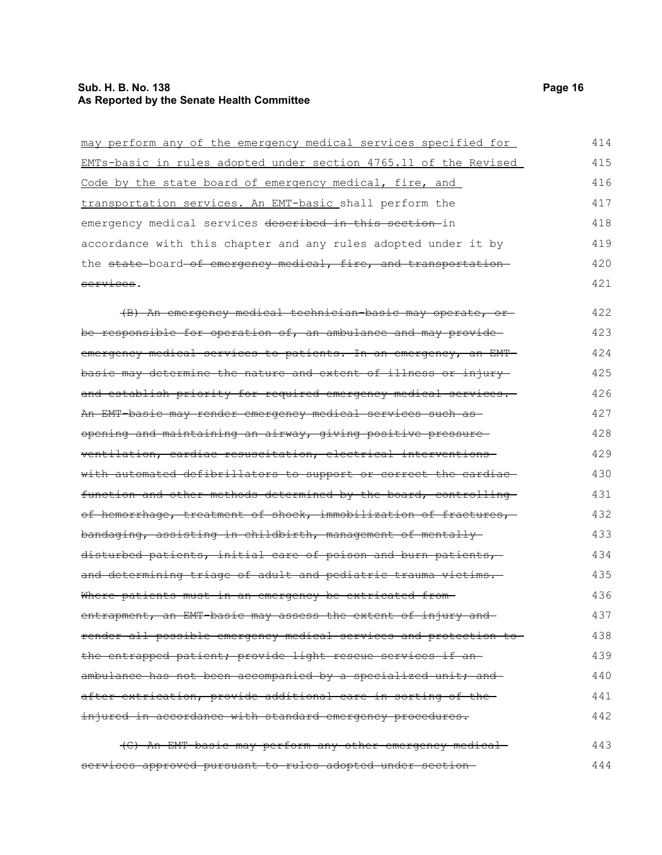### **Sub. H. B. No. 138** Page 16 **As Reported by the Senate Health Committee**

| may perform any of the emergency medical services specified for   | 414 |
|-------------------------------------------------------------------|-----|
| EMTs-basic in rules adopted under section 4765.11 of the Revised  | 415 |
| Code by the state board of emergency medical, fire, and           | 416 |
| transportation services. An EMT-basic shall perform the           | 417 |
| emergency medical services described in this section-in           | 418 |
| accordance with this chapter and any rules adopted under it by    | 419 |
| the state-board-of emergency medical, fire, and transportation-   | 420 |
| services.                                                         | 421 |
| (B) An emergency medical technician basic may operate, or-        | 422 |
| be responsible for operation of, an ambulance and may provide     | 423 |
| emergency medical services to patients. In an emergency, an EMT-  | 424 |
| basic may determine the nature and extent of illness or injury    | 425 |
| and establish priority for required emergency medical services.   | 426 |
| An EMT-basic may render emergency medical services such as-       | 427 |
| opening and maintaining an airway, giving positive pressure       | 428 |
| ventilation, cardiac resuscitation, electrical interventions      | 429 |
| with automated defibrillators to support or correct the cardiac-  | 430 |
| function and other methods determined by the board, controlling   | 431 |
| of hemorrhage, treatment of shock, immobilization of fractures,   | 432 |
| bandaging, assisting in childbirth, management of mentally        | 433 |
| disturbed patients, initial care of poison and burn patients,     | 434 |
| and determining triage of adult and pediatric trauma victims.     | 435 |
| Where patients must in an emergency be extricated from-           | 436 |
| entrapment, an EMT basic may assess the extent of injury and      | 437 |
| render all possible emergency medical services and protection to- | 438 |
| the entrapped patient; provide light rescue services if an-       | 439 |
| ambulance has not been accompanied by a specialized unit; and     | 440 |
| after extrication, provide additional care in sorting of the-     | 441 |
| injured in accordance with standard emergency procedures.         | 442 |
| (C) An EMT-basic may perform any other emergency medical-         | 443 |
| services approved pursuant to rules adopted under section-        | 444 |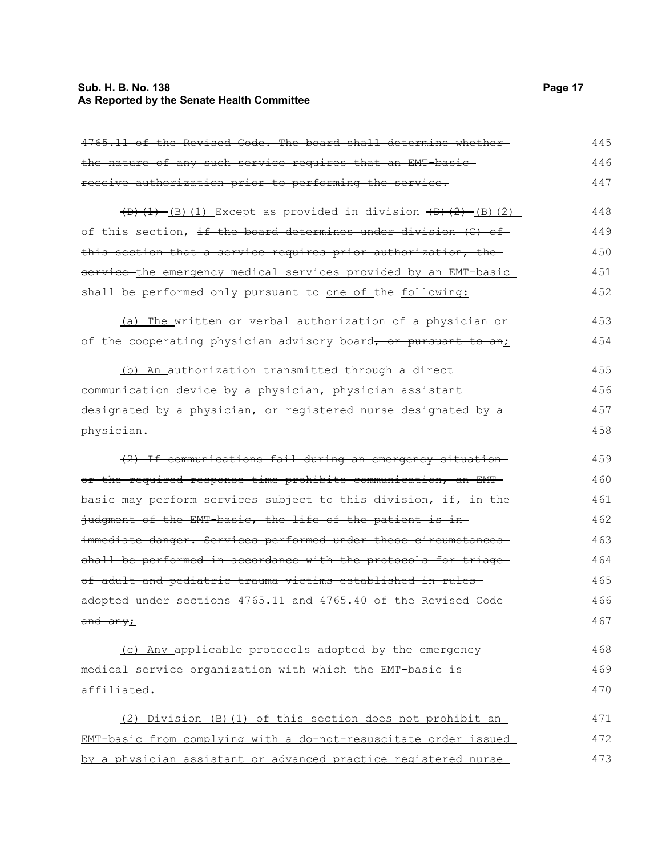### **Sub. H. B. No. 138** Page 17 **As Reported by the Senate Health Committee**

| 4765.11 of the Revised Code. The board shall determine whether-      | 445 |
|----------------------------------------------------------------------|-----|
| the nature of any such service requires that an EMT-basic-           | 446 |
| receive authorization prior to performing the service.               | 447 |
| $(D)$ (1) $(B)$ (1) Except as provided in division $(D)$ (2) (2) (2) | 448 |
| of this section, if the board determines under division (C) of       | 449 |
| this section that a service requires prior authorization, the        | 450 |
| service-the emergency medical services provided by an EMT-basic      | 451 |
| shall be performed only pursuant to one of the following:            | 452 |
| (a) The written or verbal authorization of a physician or            | 453 |
| of the cooperating physician advisory board, or pursuant to an;      | 454 |
| (b) An authorization transmitted through a direct                    | 455 |
| communication device by a physician, physician assistant             | 456 |
| designated by a physician, or registered nurse designated by a       | 457 |
| physician-                                                           | 458 |
| (2) If communications fail during an emergency situation-            | 459 |
| or the required response time prohibits communication, an EMT-       | 460 |
| basic may perform services subject to this division, if, in the      | 461 |
| judgment of the EMT basic, the life of the patient is in-            | 462 |
| immediate danger. Services performed under these circumstances-      | 463 |
| shall be performed in accordance with the protocols for triage-      | 464 |
| of adult and pediatric trauma victims established in rules-          | 465 |
| adopted under sections 4765.11 and 4765.40 of the Revised Code-      | 466 |
| and any <sub>i</sub>                                                 | 467 |
| (c) Any applicable protocols adopted by the emergency                | 468 |
| medical service organization with which the EMT-basic is             | 469 |
| affiliated.                                                          | 470 |
| (2) Division (B) (1) of this section does not prohibit an            | 471 |
| EMT-basic from complying with a do-not-resuscitate order issued      | 472 |
| by a physician assistant or advanced practice registered nurse       | 473 |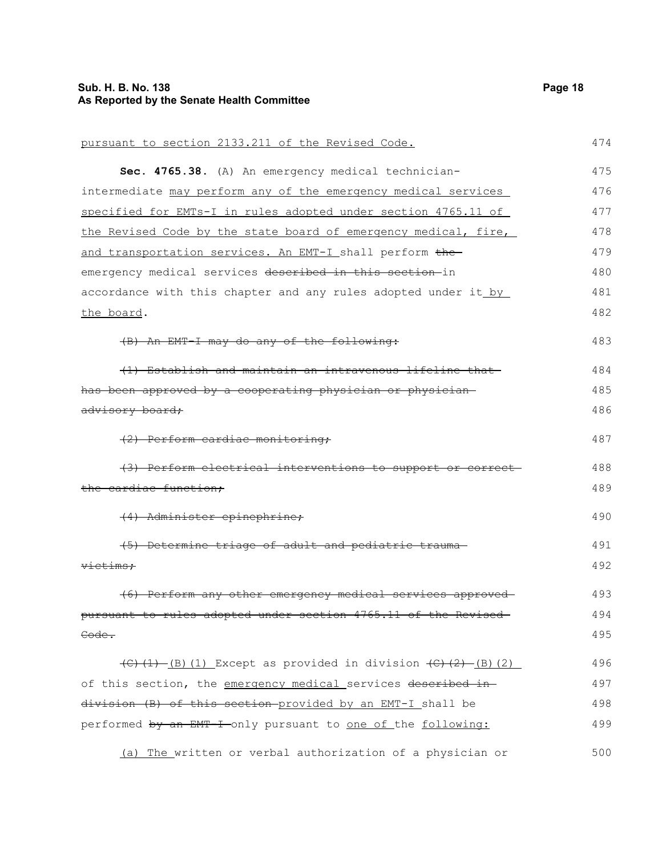### **Sub. H. B. No. 138** Page 18 **As Reported by the Senate Health Committee**

| pursuant to section 2133.211 of the Revised Code.                                        | 474 |
|------------------------------------------------------------------------------------------|-----|
| Sec. 4765.38. (A) An emergency medical technician-                                       | 475 |
| intermediate may perform any of the emergency medical services                           | 476 |
| specified for EMTs-I in rules adopted under section 4765.11 of                           | 477 |
| the Revised Code by the state board of emergency medical, fire,                          | 478 |
| and transportation services. An EMT-I shall perform the                                  | 479 |
| emergency medical services described in this section-in                                  | 480 |
| accordance with this chapter and any rules adopted under it by                           | 481 |
| the board.                                                                               | 482 |
| (B) An EMT-I may do any of the following:                                                | 483 |
| (1) Establish and maintain an intravenous lifeline that                                  | 484 |
| has been approved by a cooperating physician or physician-                               | 485 |
| advisory board;                                                                          | 486 |
| (2) Perform cardiac monitoring;                                                          | 487 |
| (3) Perform electrical interventions to support or correct-                              | 488 |
| the cardiac function:                                                                    | 489 |
| (4) Administer epinephrine;                                                              | 490 |
| (5) Determine triage of adult and pediatric trauma-                                      | 491 |
| victims;                                                                                 | 492 |
| (6) Perform any other emergency medical services approved-                               | 493 |
| pursuant to rules adopted under section 4765.11 of the Revised-                          | 494 |
| <del>Code .</del>                                                                        | 495 |
| $\overline{(C)(1) - (B)(1)}$ Except as provided in division $\overline{(C)(2) - (B)(2)}$ | 496 |
| of this section, the emergency medical services described in-                            | 497 |
| division (B) of this section provided by an EMT-I shall be                               | 498 |
| performed by an EMT-I only pursuant to one of the following:                             | 499 |
| (a) The written or verbal authorization of a physician or                                | 500 |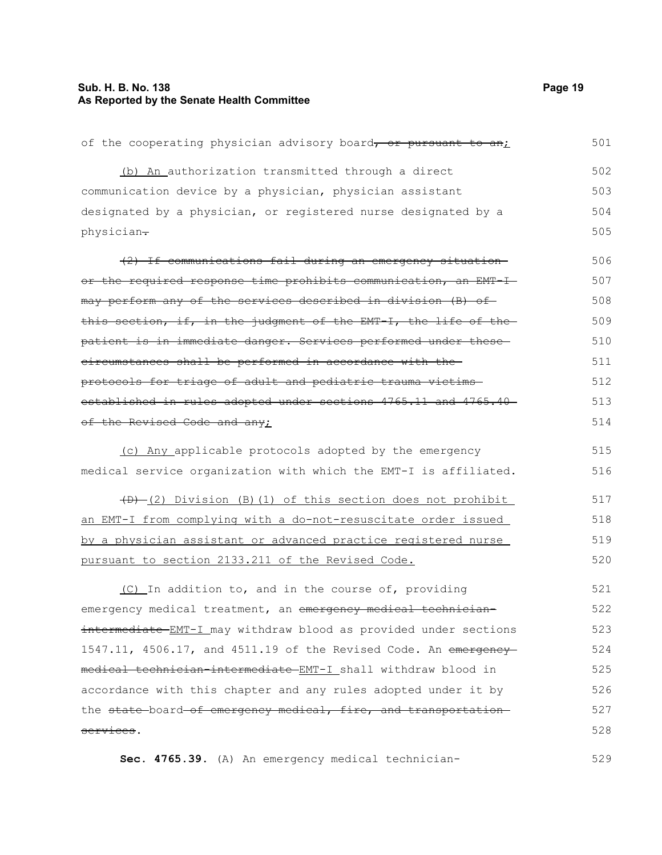### **Sub. H. B. No. 138** Page 19 **As Reported by the Senate Health Committee**

| of the cooperating physician advisory board, or pursuant to an;  | 501 |  |  |  |  |  |  |  |
|------------------------------------------------------------------|-----|--|--|--|--|--|--|--|
| (b) An authorization transmitted through a direct                | 502 |  |  |  |  |  |  |  |
| communication device by a physician, physician assistant         | 503 |  |  |  |  |  |  |  |
| designated by a physician, or registered nurse designated by a   |     |  |  |  |  |  |  |  |
| physician-                                                       | 505 |  |  |  |  |  |  |  |
| (2) If communications fail during an emergency situation-        | 506 |  |  |  |  |  |  |  |
| or the required response time prohibits communication, an EMT-I- | 507 |  |  |  |  |  |  |  |
| may perform any of the services described in division (B) of     | 508 |  |  |  |  |  |  |  |
| this section, if, in the judgment of the EMT-I, the life of the  | 509 |  |  |  |  |  |  |  |
| patient is in immediate danger. Services performed under these   | 510 |  |  |  |  |  |  |  |
| eircumstances shall be performed in accordance with the-         | 511 |  |  |  |  |  |  |  |
| protocols for triage of adult and pediatric trauma victims-      | 512 |  |  |  |  |  |  |  |
| established in rules adopted under sections 4765.11 and 4765.40  | 513 |  |  |  |  |  |  |  |
| of the Revised Code and any;                                     | 514 |  |  |  |  |  |  |  |
| (c) Any applicable protocols adopted by the emergency            | 515 |  |  |  |  |  |  |  |
| medical service organization with which the EMT-I is affiliated. | 516 |  |  |  |  |  |  |  |
| (D) (2) Division (B) (1) of this section does not prohibit       | 517 |  |  |  |  |  |  |  |
| an EMT-I from complying with a do-not-resuscitate order issued   | 518 |  |  |  |  |  |  |  |
| by a physician assistant or advanced practice registered nurse   | 519 |  |  |  |  |  |  |  |
| pursuant to section 2133.211 of the Revised Code.                | 520 |  |  |  |  |  |  |  |
| (C) In addition to, and in the course of, providing              | 521 |  |  |  |  |  |  |  |
| emergency medical treatment, an emergency medical technician-    | 522 |  |  |  |  |  |  |  |
| intermediate-EMT-I may withdraw blood as provided under sections | 523 |  |  |  |  |  |  |  |
| 1547.11, 4506.17, and 4511.19 of the Revised Code. An emergency  | 524 |  |  |  |  |  |  |  |
| medical technician intermediate EMT-I shall withdraw blood in    | 525 |  |  |  |  |  |  |  |
| accordance with this chapter and any rules adopted under it by   | 526 |  |  |  |  |  |  |  |
| the state-board-of emergency medical, fire, and transportation-  | 527 |  |  |  |  |  |  |  |
| services.                                                        | 528 |  |  |  |  |  |  |  |

**Sec. 4765.39.** (A) An emergency medical technician-529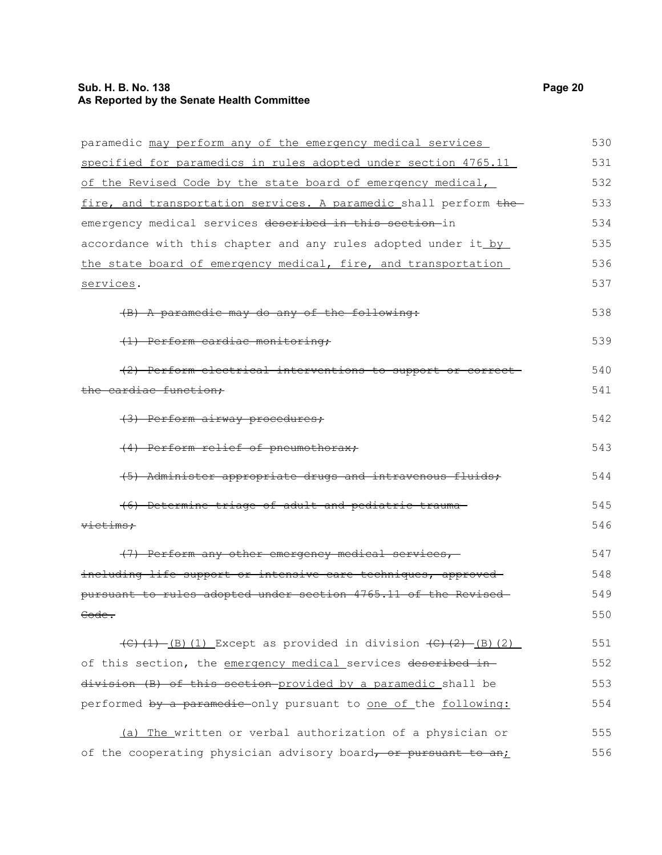### **Sub. H. B. No. 138** Page 20 **As Reported by the Senate Health Committee**

| paramedic may perform any of the emergency medical services                              | 530 |
|------------------------------------------------------------------------------------------|-----|
| specified for paramedics in rules adopted under section 4765.11                          | 531 |
| of the Revised Code by the state board of emergency medical,                             | 532 |
| fire, and transportation services. A paramedic shall perform the                         | 533 |
| emergency medical services described in this section-in                                  | 534 |
| accordance with this chapter and any rules adopted under it by                           | 535 |
| the state board of emergency medical, fire, and transportation                           | 536 |
| services.                                                                                | 537 |
| (B) A paramedic may do any of the following:                                             | 538 |
| (1) Perform cardiac monitoring;                                                          | 539 |
| (2) Perform electrical interventions to support or correct-                              | 540 |
| the cardiac function;                                                                    | 541 |
| (3) Perform airway procedures;                                                           | 542 |
| (4) Perform relief of pneumothorax;                                                      | 543 |
| (5) Administer appropriate drugs and intravenous fluids;                                 | 544 |
| (6) Determine triage of adult and pediatric trauma-                                      | 545 |
| victims;                                                                                 | 546 |
| (7) Perform any other emergency medical services,                                        | 547 |
| including life support or intensive care techniques, approved                            | 548 |
| pursuant to rules adopted under section 4765.11 of the Revised-                          | 549 |
| Code.                                                                                    | 550 |
| $\overline{(C)(1) - (B)(1)}$ Except as provided in division $\overline{(C)(2) - (B)(2)}$ | 551 |
| of this section, the emergency medical services described in-                            | 552 |
| division (B) of this section provided by a paramedic shall be                            | 553 |
| performed by a paramedic-only pursuant to one of the following:                          | 554 |
| (a) The written or verbal authorization of a physician or                                | 555 |
| of the cooperating physician advisory board, or pursuant to an;                          | 556 |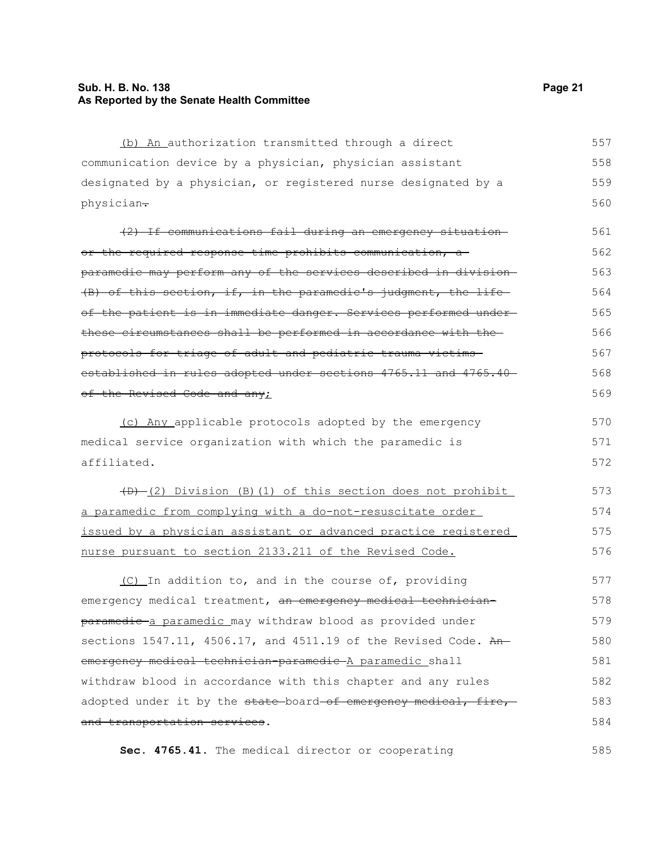#### **Sub. H. B. No. 138 Page 21 As Reported by the Senate Health Committee**

(b) An authorization transmitted through a direct communication device by a physician, physician assistant designated by a physician, or registered nurse designated by a physician-(2) If communications fail during an emergency situation or the required response time prohibits communication, a paramedic may perform any of the services described in division (B) of this section, if, in the paramedic's judgment, the life of the patient is in immediate danger. Services performed under these circumstances shall be performed in accordance with the protocols for triage of adult and pediatric trauma victims established in rules adopted under sections 4765.11 and 4765.40 of the Revised Code and any; (c) Any applicable protocols adopted by the emergency medical service organization with which the paramedic is affiliated.  $(D)$  (2) Division (B)(1) of this section does not prohibit a paramedic from complying with a do-not-resuscitate order issued by a physician assistant or advanced practice registered nurse pursuant to section 2133.211 of the Revised Code. (C) In addition to, and in the course of, providing emergency medical treatment, an emergency medical technicianparamedic a paramedic may withdraw blood as provided under sections  $1547.11$ ,  $4506.17$ , and  $4511.19$  of the Revised Code. Anemergency medical technician paramedic A paramedic shall withdraw blood in accordance with this chapter and any rules adopted under it by the state-board-of emergency medical, fire, 557 558 559 560 561 562 563 564 565 566 567 568 569 570 571 572 573 574 575 576 577 578 579 580 581 582 583

**Sec. 4765.41.** The medical director or cooperating

and transportation services.

584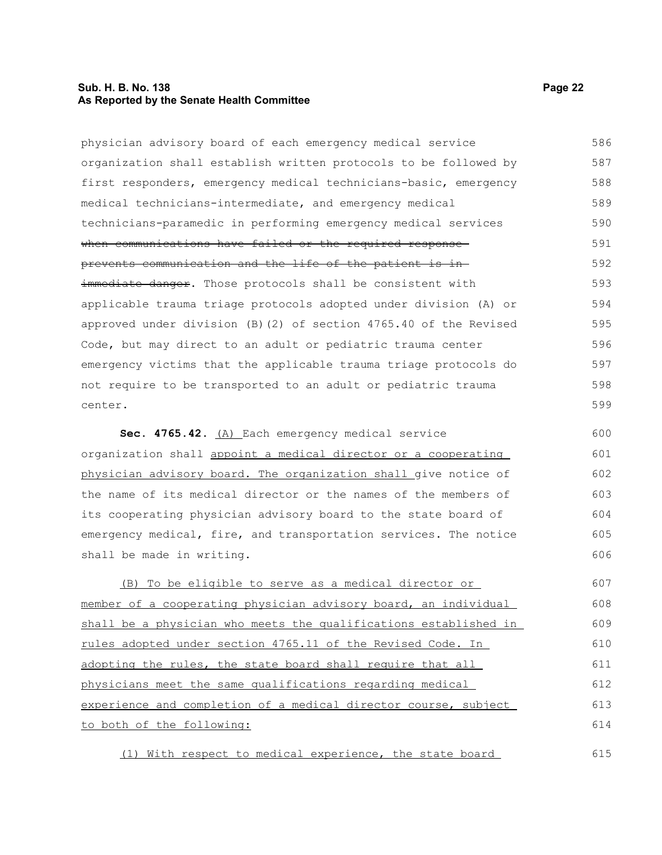#### **Sub. H. B. No. 138 Page 22 As Reported by the Senate Health Committee**

| physician advisory board of each emergency medical service          | 586 |
|---------------------------------------------------------------------|-----|
| organization shall establish written protocols to be followed by    | 587 |
| first responders, emergency medical technicians-basic, emergency    | 588 |
| medical technicians-intermediate, and emergency medical             | 589 |
| technicians-paramedic in performing emergency medical services      | 590 |
| when communications have failed or the required response-           | 591 |
| prevents communication and the life of the patient is in-           | 592 |
| immediate danger. Those protocols shall be consistent with          | 593 |
| applicable trauma triage protocols adopted under division (A) or    | 594 |
| approved under division $(B)$ (2) of section 4765.40 of the Revised | 595 |
| Code, but may direct to an adult or pediatric trauma center         | 596 |
| emergency victims that the applicable trauma triage protocols do    | 597 |
| not require to be transported to an adult or pediatric trauma       | 598 |
| center.                                                             | 599 |
| Sec. 4765.42. (A) Each emergency medical service                    | 600 |
| organization shall appoint a medical director or a cooperating      | 601 |
| physician advisory board. The organization shall give notice of     | 602 |
| the name of its medical director or the names of the members of     | 603 |
| its cooperating physician advisory board to the state board of      | 604 |
| emergency medical, fire, and transportation services. The notice    | 605 |
| shall be made in writing.                                           | 606 |
|                                                                     |     |

(B) To be eligible to serve as a medical director or member of a cooperating physician advisory board, an individual shall be a physician who meets the qualifications established in rules adopted under section 4765.11 of the Revised Code. In adopting the rules, the state board shall require that all physicians meet the same qualifications regarding medical experience and completion of a medical director course, subject to both of the following: 607 608 609 610 611 612 613 614

(1) With respect to medical experience, the state board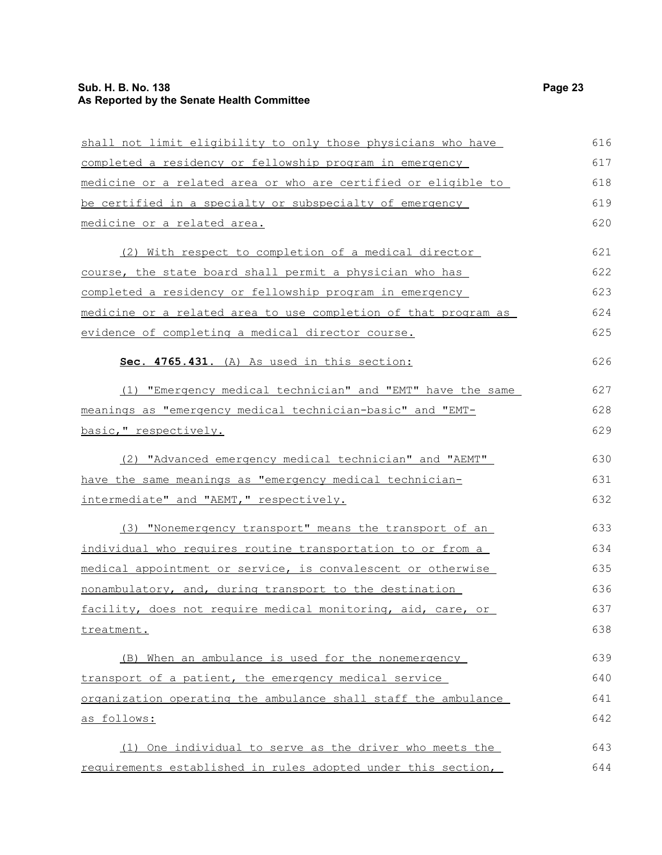### **Sub. H. B. No. 138** Page 23 **As Reported by the Senate Health Committee**

| shall not limit eligibility to only those physicians who have   | 616 |
|-----------------------------------------------------------------|-----|
| completed a residency or fellowship program in emergency        | 617 |
| medicine or a related area or who are certified or eligible to  | 618 |
| be certified in a specialty or subspecialty of emergency        | 619 |
| medicine or a related area.                                     | 620 |
| (2) With respect to completion of a medical director            | 621 |
| <u>course, the state board shall permit a physician who has</u> | 622 |
| completed a residency or fellowship program in emergency        | 623 |
| medicine or a related area to use completion of that program as | 624 |
| evidence of completing a medical director course.               | 625 |
| Sec. 4765.431. (A) As used in this section:                     | 626 |
| (1) "Emergency medical technician" and "EMT" have the same      | 627 |
| meanings as "emergency medical technician-basic" and "EMT-      | 628 |
| basic, " respectively.                                          | 629 |
| (2) "Advanced emergency medical technician" and "AEMT"          | 630 |
| have the same meanings as "emergency medical technician-        | 631 |
| intermediate" and "AEMT," respectively.                         | 632 |
| (3) "Nonemergency transport" means the transport of an          | 633 |
| individual who requires routine transportation to or from a     | 634 |
| medical appointment or service, is convalescent or otherwise    | 635 |
| nonambulatory, and, during transport to the destination         | 636 |
| facility, does not require medical monitoring, aid, care, or    | 637 |
| treatment.                                                      | 638 |
| (B) When an ambulance is used for the nonemergency              | 639 |
| transport of a patient, the emergency medical service           | 640 |
| organization operating the ambulance shall staff the ambulance  | 641 |
| as follows:                                                     | 642 |
| (1) One individual to serve as the driver who meets the         | 643 |
| requirements established in rules adopted under this section,   | 644 |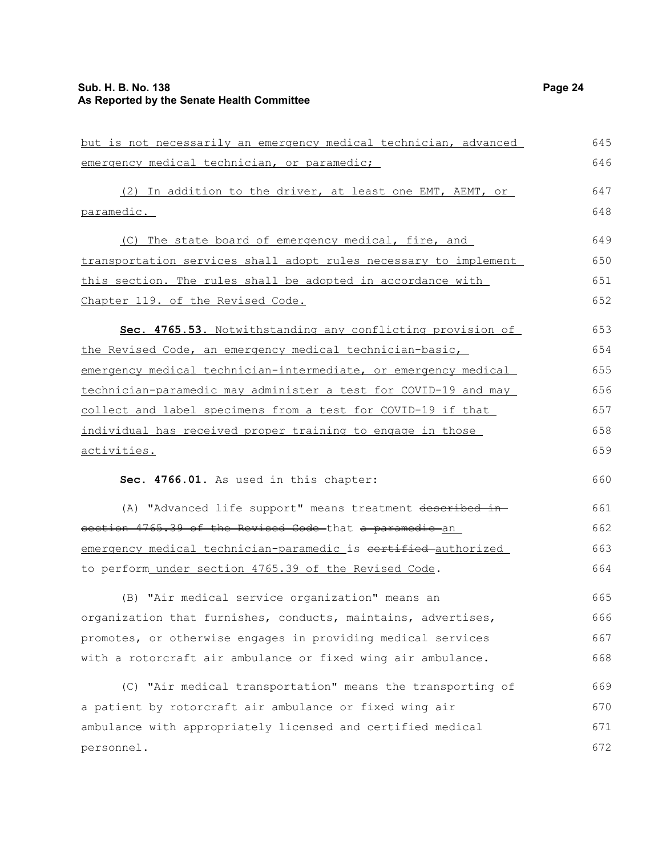### **Sub. H. B. No. 138** Page 24 **As Reported by the Senate Health Committee**

| but is not necessarily an emergency medical technician, advanced | 645 |
|------------------------------------------------------------------|-----|
| emergency medical technician, or paramedic;                      | 646 |
| (2) In addition to the driver, at least one EMT, AEMT, or        | 647 |
| paramedic.                                                       | 648 |
| (C) The state board of emergency medical, fire, and              | 649 |
| transportation services shall adopt rules necessary to implement | 650 |
| this section. The rules shall be adopted in accordance with      | 651 |
| Chapter 119. of the Revised Code.                                | 652 |
| Sec. 4765.53. Notwithstanding any conflicting provision of       | 653 |
| the Revised Code, an emergency medical technician-basic,         | 654 |
| emergency medical technician-intermediate, or emergency medical  | 655 |
| technician-paramedic may administer a test for COVID-19 and may  | 656 |
| collect and label specimens from a test for COVID-19 if that     | 657 |
| individual has received proper training to engage in those       | 658 |
| activities.                                                      | 659 |
| Sec. 4766.01. As used in this chapter:                           | 660 |
| (A) "Advanced life support" means treatment described in-        | 661 |
| section 4765.39 of the Revised Code that a paramedic an          | 662 |
| emergency medical technician-paramedic is certified-authorized   | 663 |
| to perform_under_section_4765.39 of the Revised Code.            | 664 |
| (B) "Air medical service organization" means an                  | 665 |
| organization that furnishes, conducts, maintains, advertises,    | 666 |
| promotes, or otherwise engages in providing medical services     | 667 |
| with a rotorcraft air ambulance or fixed wing air ambulance.     | 668 |
| (C) "Air medical transportation" means the transporting of       | 669 |
| a patient by rotorcraft air ambulance or fixed wing air          | 670 |
| ambulance with appropriately licensed and certified medical      | 671 |
| personnel.                                                       | 672 |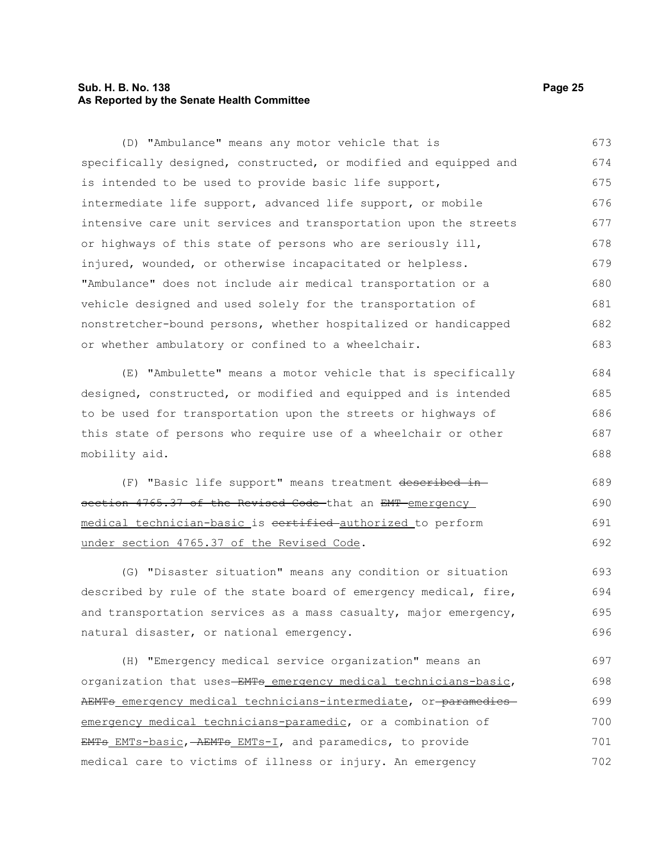### **Sub. H. B. No. 138 Page 25 As Reported by the Senate Health Committee**

(D) "Ambulance" means any motor vehicle that is specifically designed, constructed, or modified and equipped and is intended to be used to provide basic life support, intermediate life support, advanced life support, or mobile intensive care unit services and transportation upon the streets or highways of this state of persons who are seriously ill, injured, wounded, or otherwise incapacitated or helpless. "Ambulance" does not include air medical transportation or a vehicle designed and used solely for the transportation of nonstretcher-bound persons, whether hospitalized or handicapped or whether ambulatory or confined to a wheelchair. 673 674 675 676 677 678 679 680 681 682 683

(E) "Ambulette" means a motor vehicle that is specifically designed, constructed, or modified and equipped and is intended to be used for transportation upon the streets or highways of this state of persons who require use of a wheelchair or other mobility aid. 684 685 686 687 688

(F) "Basic life support" means treatment described in section 4765.37 of the Revised Code that an EMT emergency medical technician-basic is certified authorized to perform under section 4765.37 of the Revised Code. 689 690 691 692

(G) "Disaster situation" means any condition or situation described by rule of the state board of emergency medical, fire, and transportation services as a mass casualty, major emergency, natural disaster, or national emergency. 693 694 695 696

(H) "Emergency medical service organization" means an organization that uses-EMTs emergency medical technicians-basic, AEMTs emergency medical technicians-intermediate, or-paramedicsemergency medical technicians-paramedic, or a combination of EMTs EMTs-basic, AEMTs EMTs-I, and paramedics, to provide medical care to victims of illness or injury. An emergency 697 698 699 700 701 702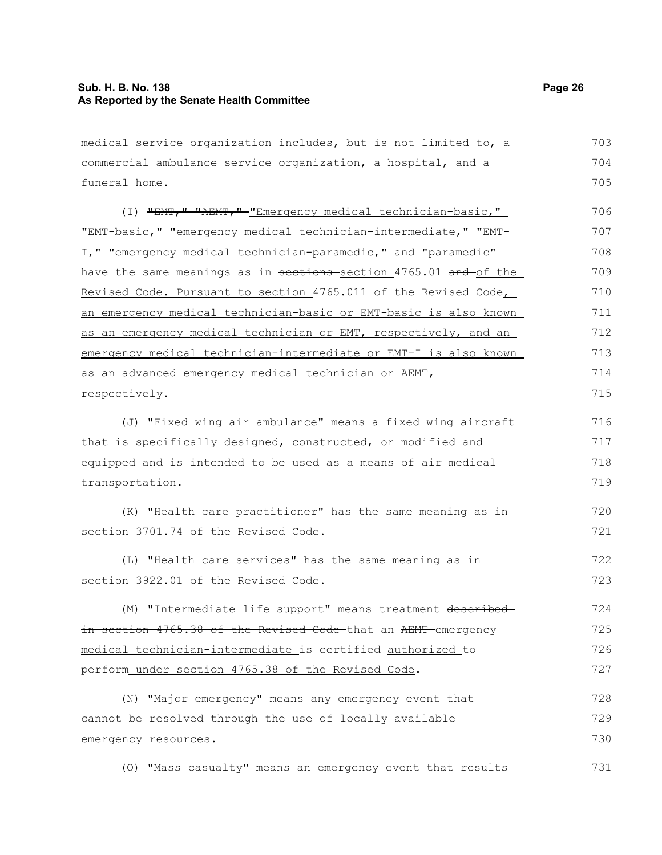#### **Sub. H. B. No. 138 Page 26 As Reported by the Senate Health Committee**

medical service organization includes, but is not limited to, a commercial ambulance service organization, a hospital, and a funeral home. (I) "EMT," "AEMT," "Emergency medical technician-basic," "EMT-basic," "emergency medical technician-intermediate," "EMT-I," "emergency medical technician-paramedic," and "paramedic" have the same meanings as in sections section 4765.01 and of the Revised Code. Pursuant to section 4765.011 of the Revised Code, an emergency medical technician-basic or EMT-basic is also known as an emergency medical technician or EMT, respectively, and an emergency medical technician-intermediate or EMT-I is also known as an advanced emergency medical technician or AEMT, respectively. (J) "Fixed wing air ambulance" means a fixed wing aircraft that is specifically designed, constructed, or modified and 703 704 705 706 707 708 709 710 711 712 713 714 715 716 717

equipped and is intended to be used as a means of air medical transportation. 718 719

(K) "Health care practitioner" has the same meaning as in section 3701.74 of the Revised Code. 720 721

(L) "Health care services" has the same meaning as in section 3922.01 of the Revised Code. 722 723

(M) "Intermediate life support" means treatment describedin section 4765.38 of the Revised Code that an AEMT emergency medical technician-intermediate is cortified authorized to perform under section 4765.38 of the Revised Code. 724 725 726 727

(N) "Major emergency" means any emergency event that cannot be resolved through the use of locally available emergency resources. 728 729 730

(O) "Mass casualty" means an emergency event that results 731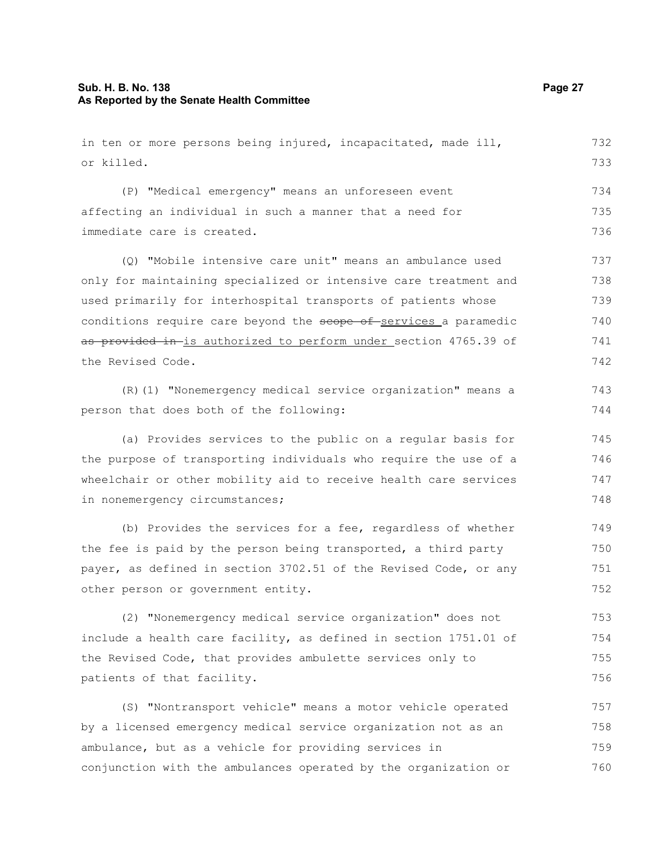### **Sub. H. B. No. 138 Page 27 As Reported by the Senate Health Committee**

in ten or more persons being injured, incapacitated, made ill, or killed. (P) "Medical emergency" means an unforeseen event affecting an individual in such a manner that a need for immediate care is created. (Q) "Mobile intensive care unit" means an ambulance used only for maintaining specialized or intensive care treatment and used primarily for interhospital transports of patients whose conditions require care beyond the scope of services a paramedic as provided in-is authorized to perform under section 4765.39 of the Revised Code. (R)(1) "Nonemergency medical service organization" means a person that does both of the following: (a) Provides services to the public on a regular basis for the purpose of transporting individuals who require the use of a wheelchair or other mobility aid to receive health care services in nonemergency circumstances; (b) Provides the services for a fee, regardless of whether the fee is paid by the person being transported, a third party payer, as defined in section 3702.51 of the Revised Code, or any other person or government entity. (2) "Nonemergency medical service organization" does not include a health care facility, as defined in section 1751.01 of the Revised Code, that provides ambulette services only to patients of that facility. (S) "Nontransport vehicle" means a motor vehicle operated by a licensed emergency medical service organization not as an ambulance, but as a vehicle for providing services in conjunction with the ambulances operated by the organization or 732 733 734 735 736 737 738 739 740 741 742 743 744 745 746 747 748 749 750 751 752 753 754 755 756 757 758 759 760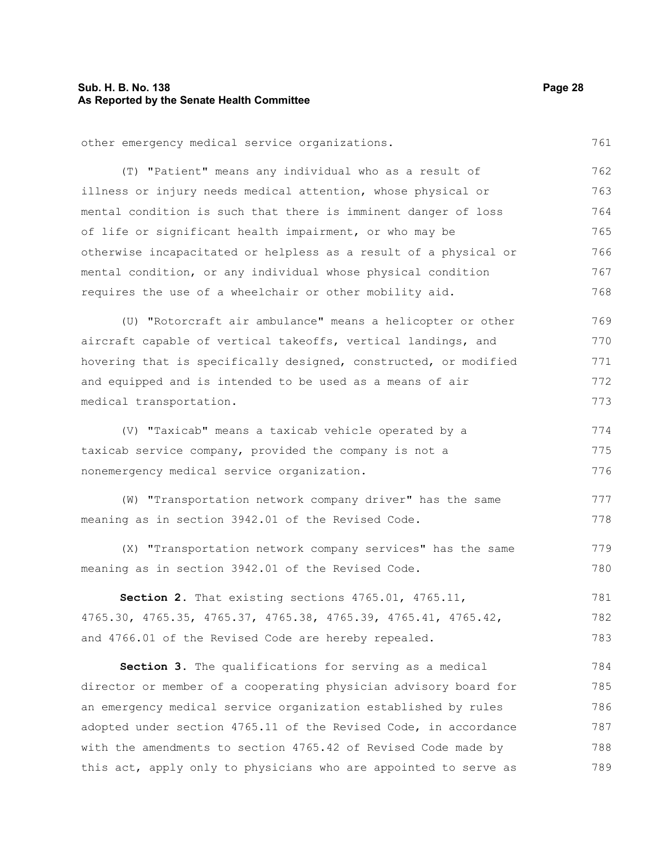### **Sub. H. B. No. 138 Page 28 As Reported by the Senate Health Committee**

|  |  | other emergency medical service organizations. | 761 |
|--|--|------------------------------------------------|-----|
|  |  |                                                |     |

(T) "Patient" means any individual who as a result of illness or injury needs medical attention, whose physical or mental condition is such that there is imminent danger of loss of life or significant health impairment, or who may be otherwise incapacitated or helpless as a result of a physical or mental condition, or any individual whose physical condition requires the use of a wheelchair or other mobility aid. 762 763 764 765 766 767 768

(U) "Rotorcraft air ambulance" means a helicopter or other aircraft capable of vertical takeoffs, vertical landings, and hovering that is specifically designed, constructed, or modified and equipped and is intended to be used as a means of air medical transportation. 769 770 771 772 773

(V) "Taxicab" means a taxicab vehicle operated by a taxicab service company, provided the company is not a nonemergency medical service organization. 774 775 776

(W) "Transportation network company driver" has the same meaning as in section 3942.01 of the Revised Code. 777 778

(X) "Transportation network company services" has the same meaning as in section 3942.01 of the Revised Code.

**Section 2.** That existing sections 4765.01, 4765.11, 4765.30, 4765.35, 4765.37, 4765.38, 4765.39, 4765.41, 4765.42, and 4766.01 of the Revised Code are hereby repealed. 781 782 783

**Section 3.** The qualifications for serving as a medical director or member of a cooperating physician advisory board for an emergency medical service organization established by rules adopted under section 4765.11 of the Revised Code, in accordance with the amendments to section 4765.42 of Revised Code made by this act, apply only to physicians who are appointed to serve as 784 785 786 787 788 789